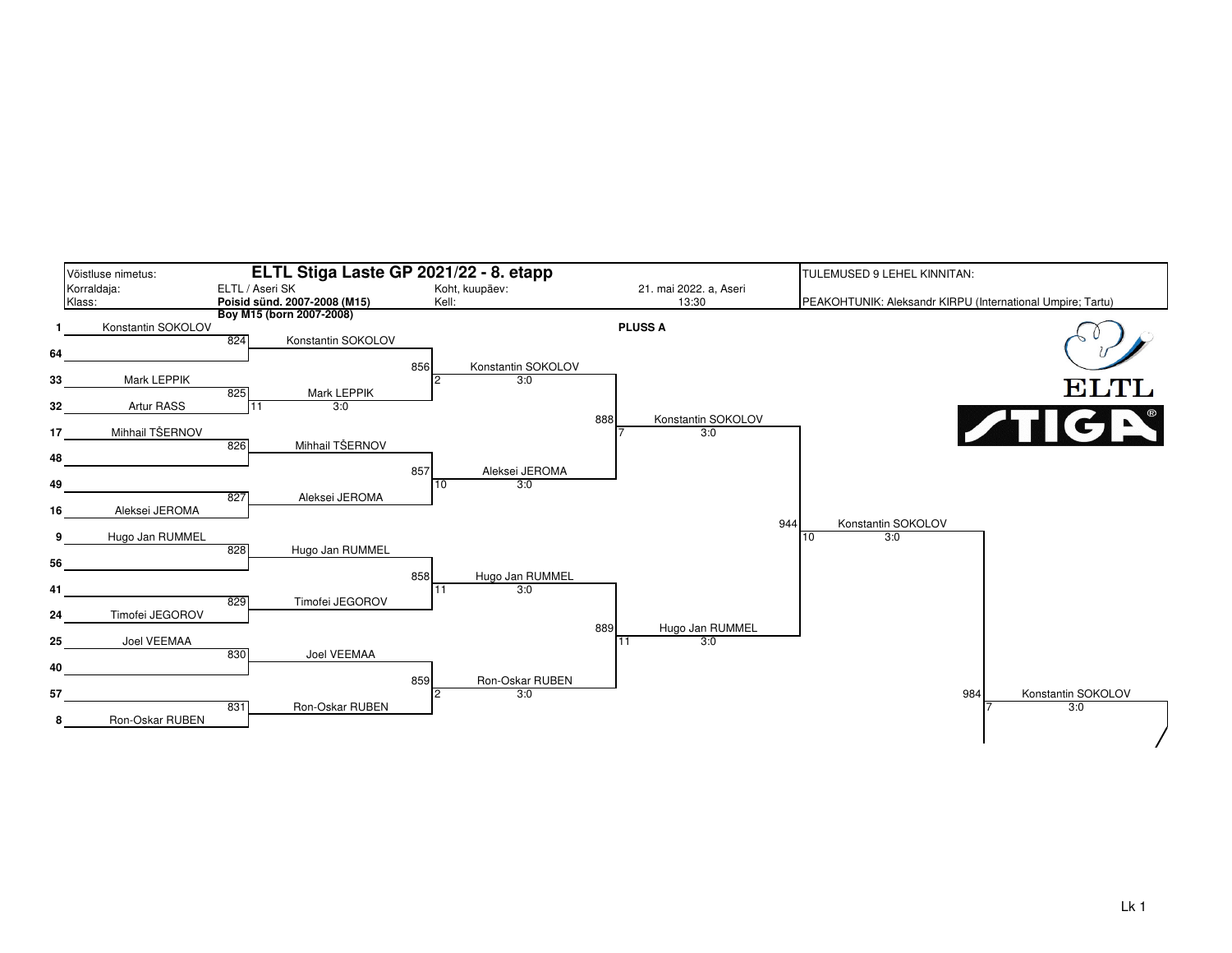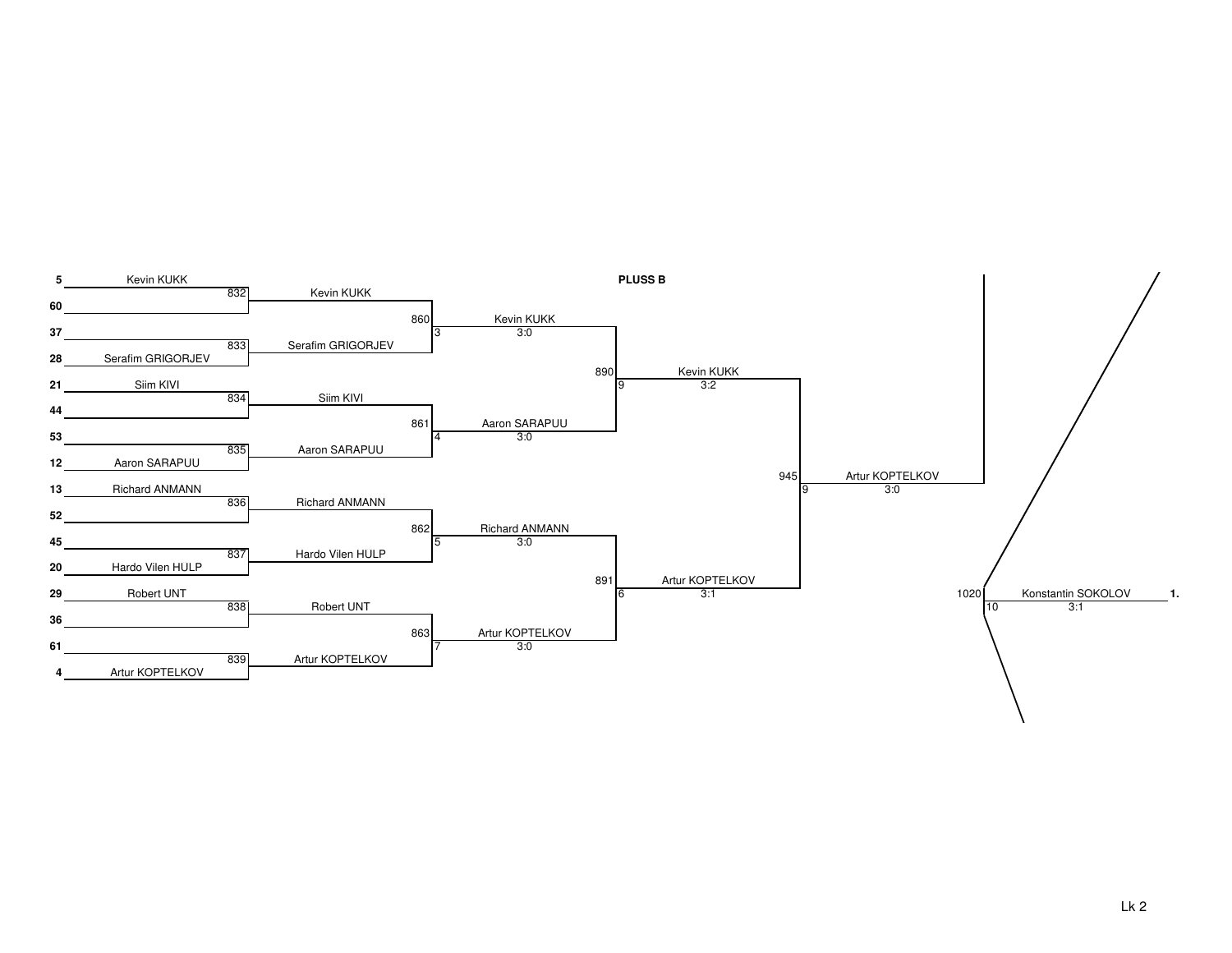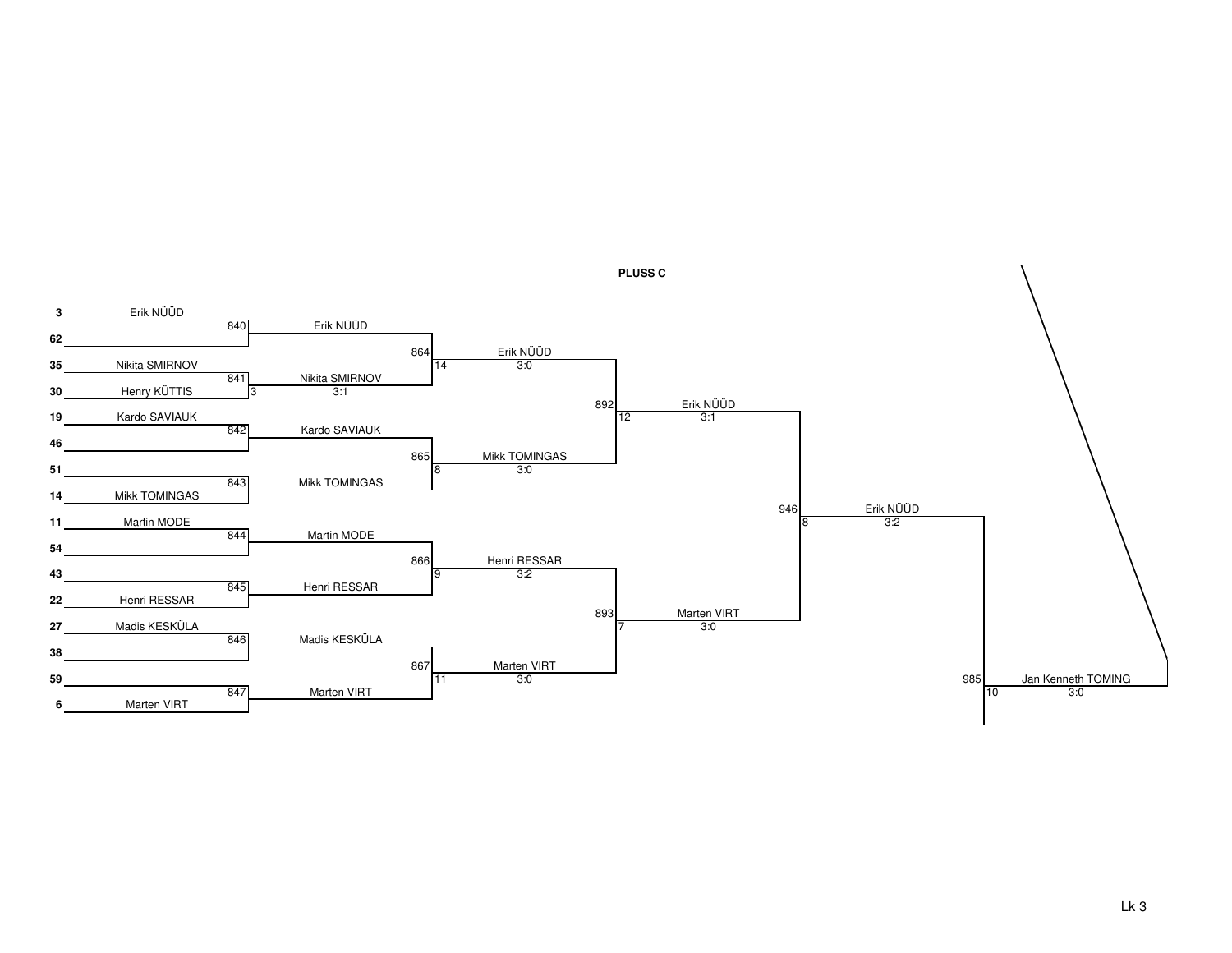

**PLUSS C**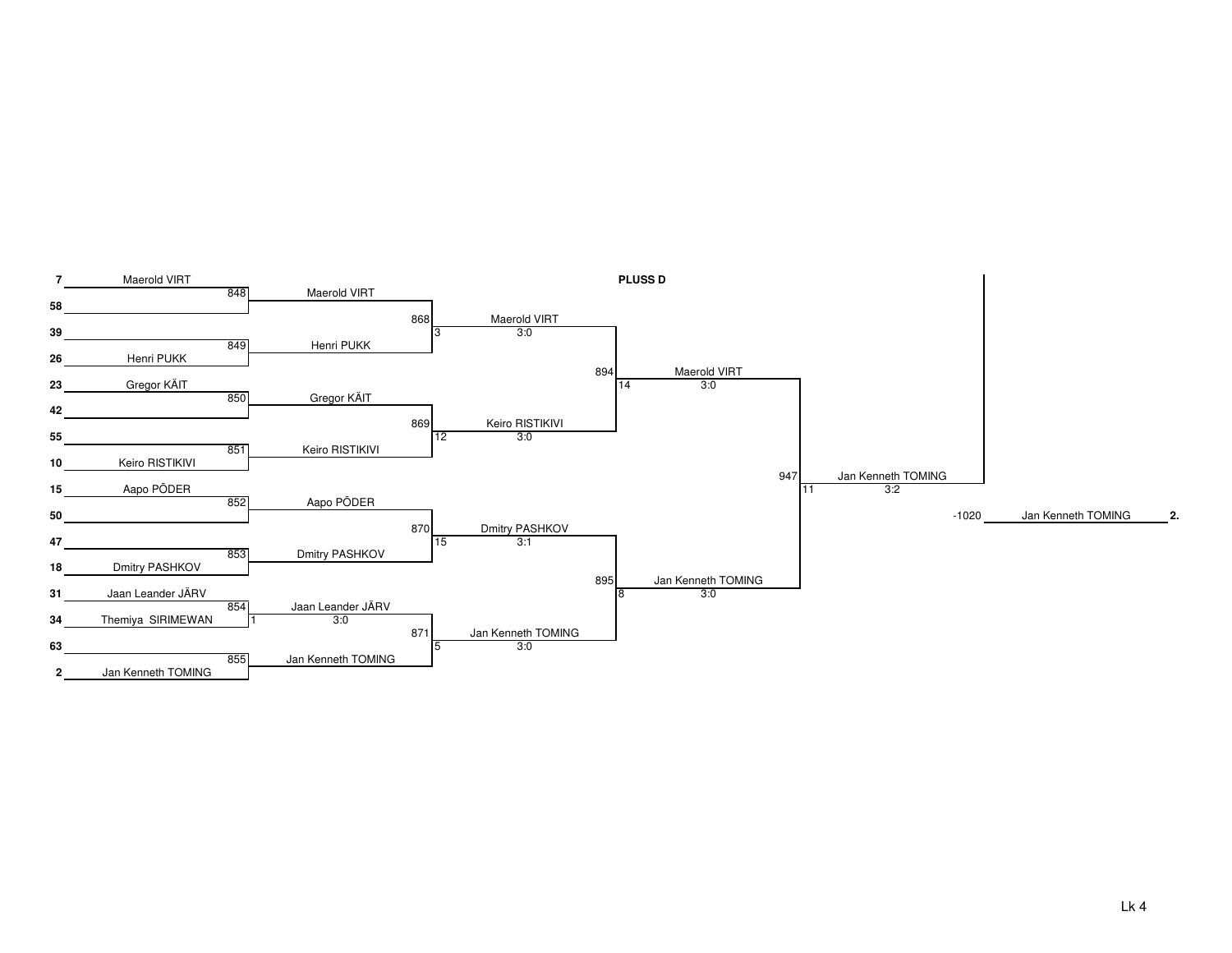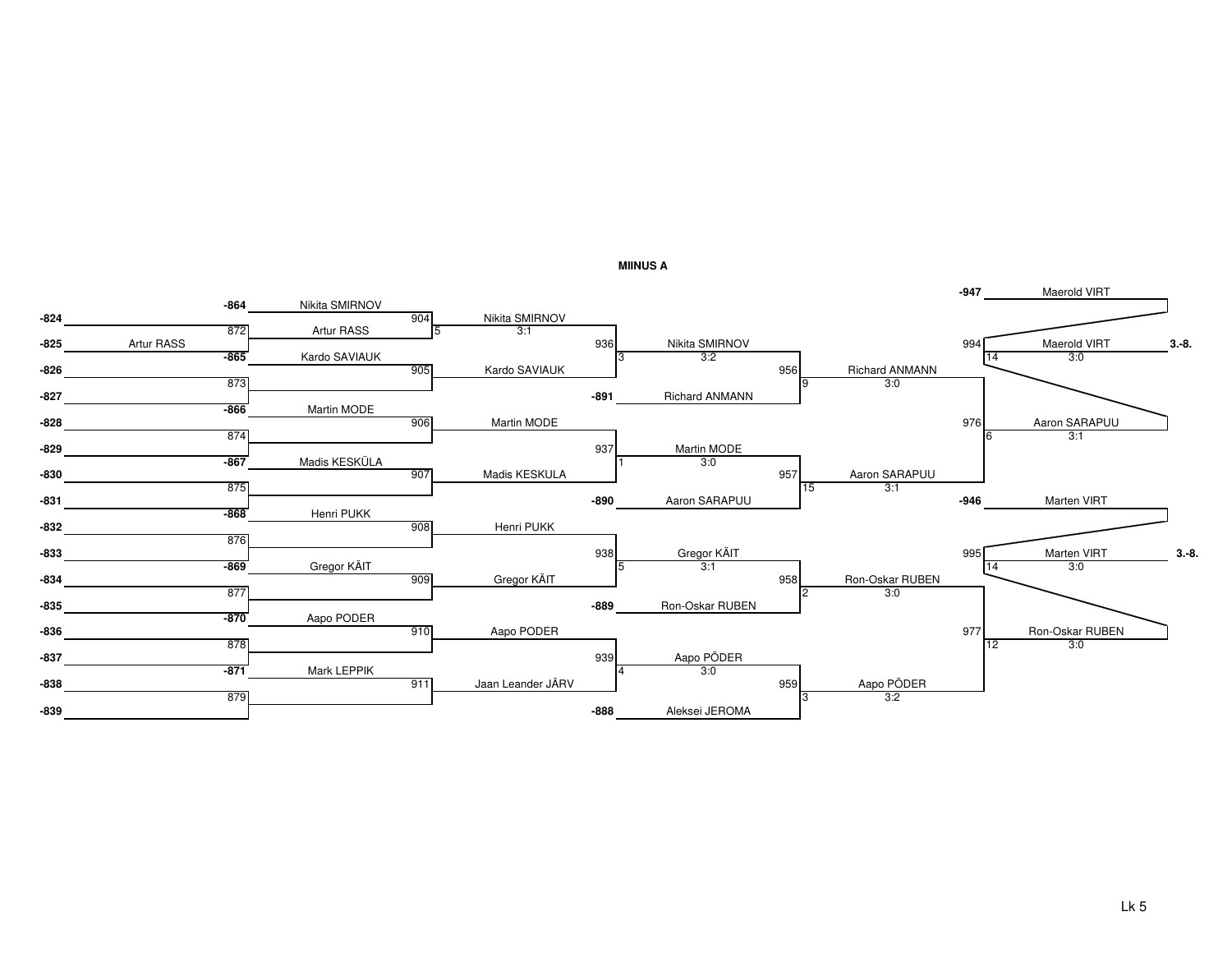

**MIINUS A**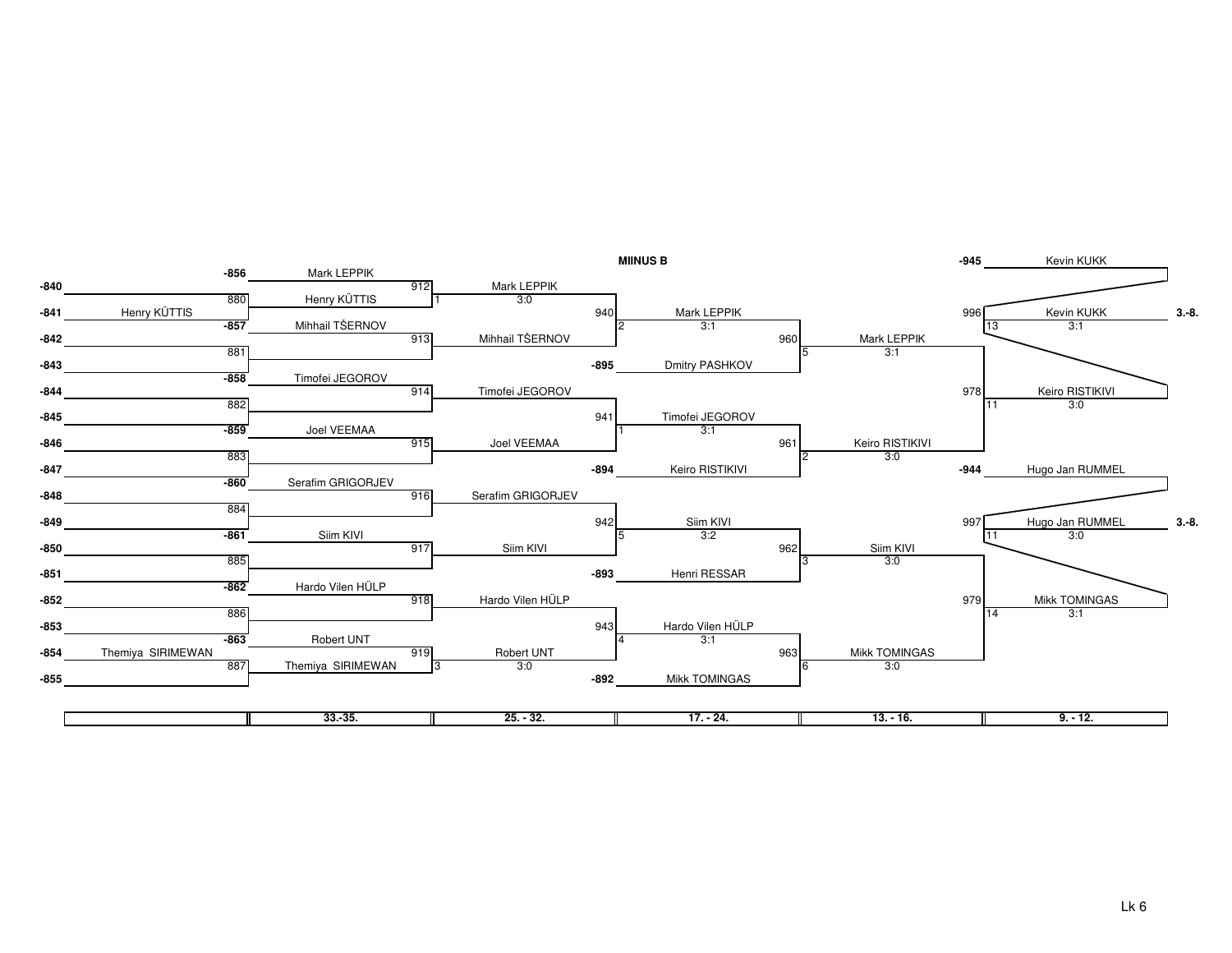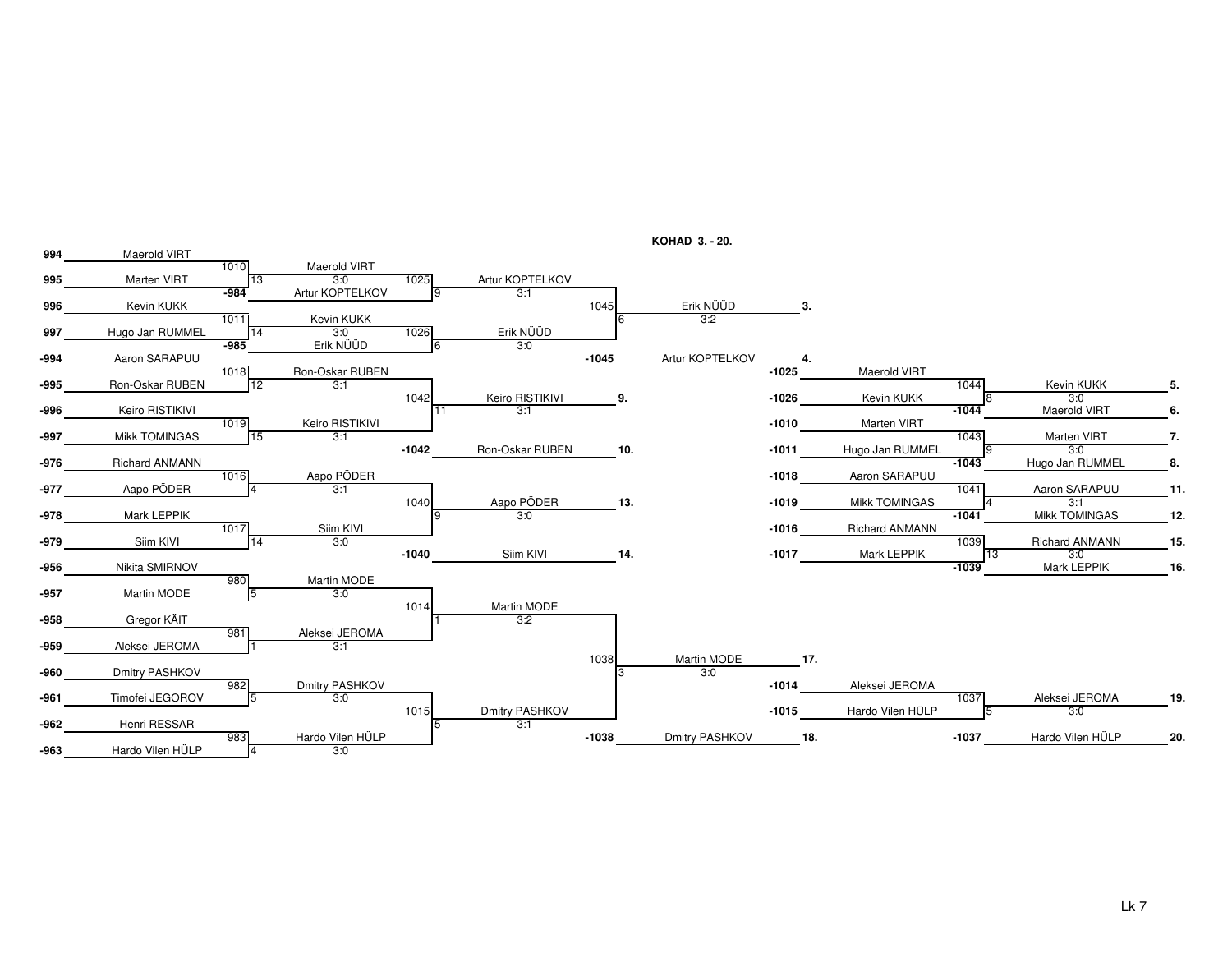

**KOHAD 3. - 20.**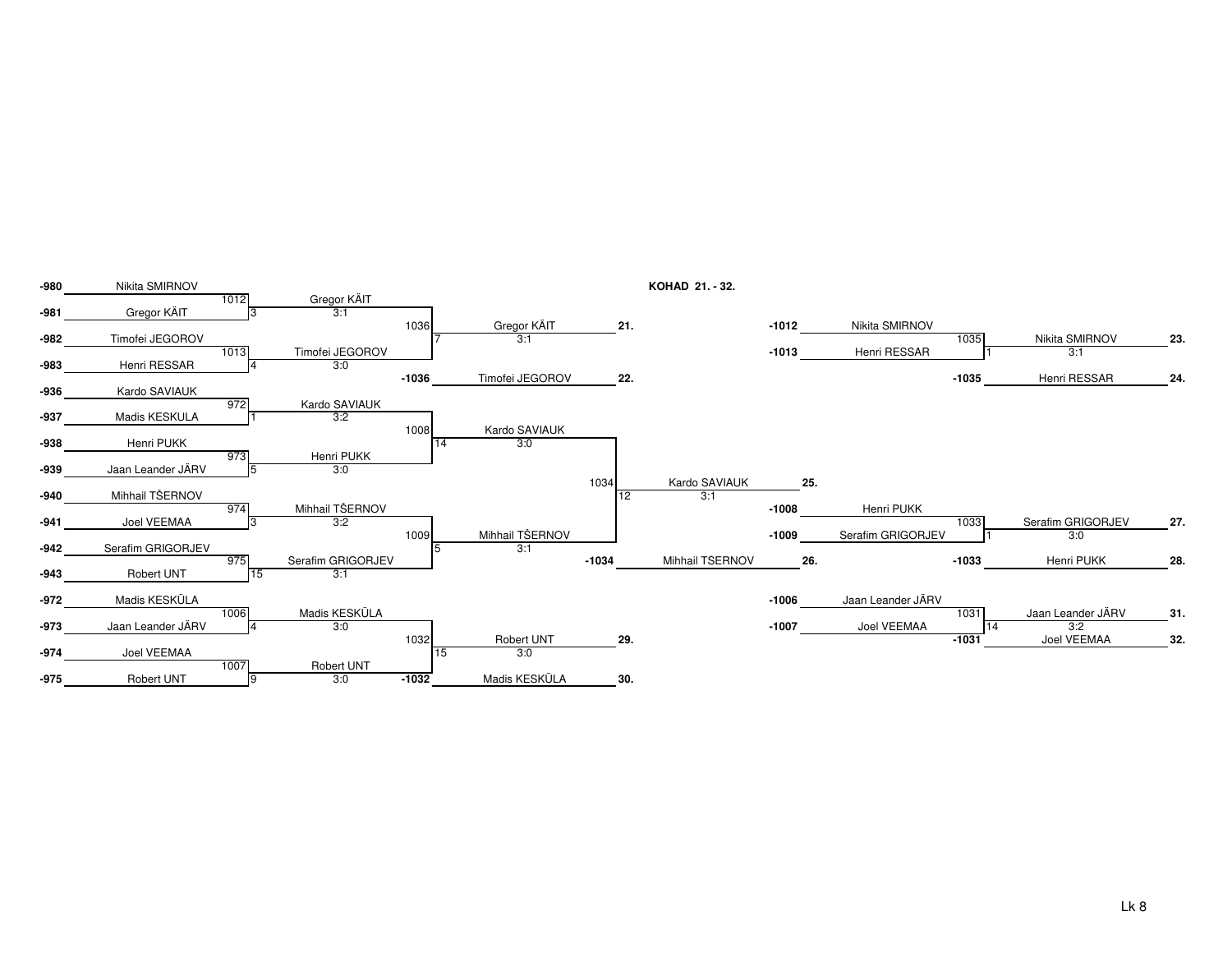